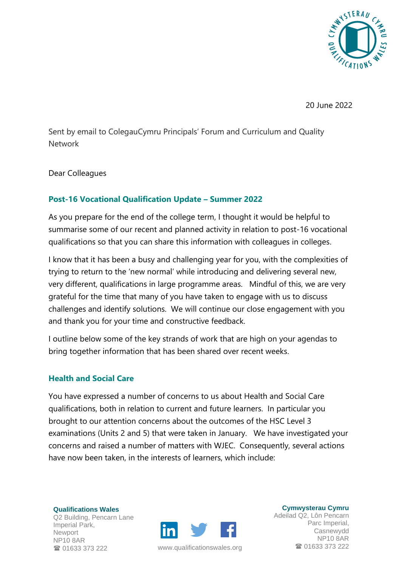

20 June 2022

Sent by email to ColegauCymru Principals' Forum and Curriculum and Quality Network

Dear Colleagues

#### **Post-16 Vocational Qualification Update – Summer 2022**

As you prepare for the end of the college term, I thought it would be helpful to summarise some of our recent and planned activity in relation to post-16 vocational qualifications so that you can share this information with colleagues in colleges.

I know that it has been a busy and challenging year for you, with the complexities of trying to return to the 'new normal' while introducing and delivering several new, very different, qualifications in large programme areas. Mindful of this, we are very grateful for the time that many of you have taken to engage with us to discuss challenges and identify solutions. We will continue our close engagement with you and thank you for your time and constructive feedback.

I outline below some of the key strands of work that are high on your agendas to bring together information that has been shared over recent weeks.

#### **Health and Social Care**

You have expressed a number of concerns to us about Health and Social Care qualifications, both in relation to current and future learners. In particular you brought to our attention concerns about the outcomes of the HSC Level 3 examinations (Units 2 and 5) that were taken in January. We have investigated your concerns and raised a number of matters with WJEC. Consequently, several actions have now been taken, in the interests of learners, which include:

**Qualifications Wales** Q2 Building, Pencarn Lane Imperial Park, **Newport** NP10 8AR 01633 373 222



www.[qualificationswales](http://qualificationswales.org/Splash).org 01633 373 222

**Cymwysterau Cymru** Adeilad Q2, Lôn Pencarn Parc Imperial, Casnewydd NP10 8AR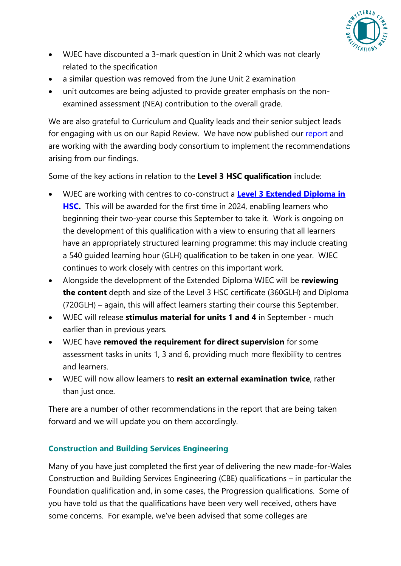

- WJEC have discounted a 3-mark question in Unit 2 which was not clearly related to the specification
- a similar question was removed from the June Unit 2 examination
- unit outcomes are being adjusted to provide greater emphasis on the nonexamined assessment (NEA) contribution to the overall grade.

We are also grateful to Curriculum and Quality leads and their senior subject leads for engaging with us on our Rapid Review. We have now published our [report](https://qualificationswales.org/media/8540/hsc-ccpld-level-3-rapid-review-report-final-published.docx) and are working with the awarding body consortium to implement the recommendations arising from our findings.

Some of the key actions in relation to the **Level 3 HSC qualification** include:

- WJEC are working with centres to co-construct a **[Level 3 Extended Diploma in](https://www.wjec.co.uk/articles/new-extended-diploma-in-health-and-social-care-for-teaching-from-september-2023/) [HSC.](https://www.wjec.co.uk/articles/new-extended-diploma-in-health-and-social-care-for-teaching-from-september-2023/)** This will be awarded for the first time in 2024, enabling learners who beginning their two-year course this September to take it. Work is ongoing on the development of this qualification with a view to ensuring that all learners have an appropriately structured learning programme: this may include creating a 540 guided learning hour (GLH) qualification to be taken in one year. WJEC continues to work closely with centres on this important work.
- Alongside the development of the Extended Diploma WJEC will be **reviewing the content** depth and size of the Level 3 HSC certificate (360GLH) and Diploma (720GLH) – again, this will affect learners starting their course this September.
- WJEC will release **stimulus material for units 1 and 4** in September much earlier than in previous years.
- WJEC have **removed the requirement for direct supervision** for some assessment tasks in units 1, 3 and 6, providing much more flexibility to centres and learners.
- WJEC will now allow learners to **resit an external examination twice**, rather than just once.

There are a number of other recommendations in the report that are being taken forward and we will update you on them accordingly.

# **Construction and Building Services Engineering**

Many of you have just completed the first year of delivering the new made-for-Wales Construction and Building Services Engineering (CBE) qualifications – in particular the Foundation qualification and, in some cases, the Progression qualifications. Some of you have told us that the qualifications have been very well received, others have some concerns. For example, we've been advised that some colleges are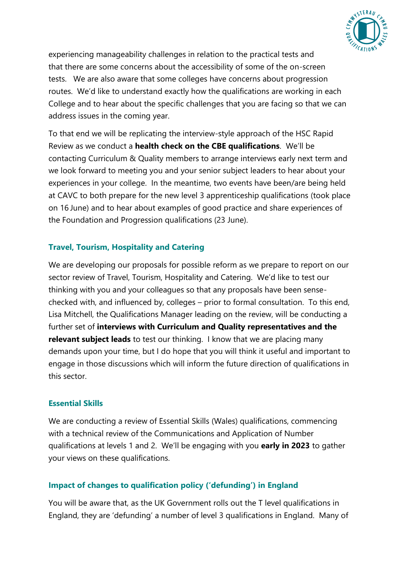

experiencing manageability challenges in relation to the practical tests and that there are some concerns about the accessibility of some of the on-screen tests. We are also aware that some colleges have concerns about progression routes. We'd like to understand exactly how the qualifications are working in each College and to hear about the specific challenges that you are facing so that we can address issues in the coming year.

To that end we will be replicating the interview-style approach of the HSC Rapid Review as we conduct a **health check on the CBE qualifications**. We'll be contacting Curriculum & Quality members to arrange interviews early next term and we look forward to meeting you and your senior subject leaders to hear about your experiences in your college. In the meantime, two events have been/are being held at CAVC to both prepare for the new level 3 apprenticeship qualifications (took place on 16 June) and to hear about examples of good practice and share experiences of the Foundation and Progression qualifications (23 June).

## **Travel, Tourism, Hospitality and Catering**

We are developing our proposals for possible reform as we prepare to report on our sector review of Travel, Tourism, Hospitality and Catering. We'd like to test our thinking with you and your colleagues so that any proposals have been sensechecked with, and influenced by, colleges – prior to formal consultation. To this end, Lisa Mitchell, the Qualifications Manager leading on the review, will be conducting a further set of **interviews with Curriculum and Quality representatives and the relevant subject leads** to test our thinking. I know that we are placing many demands upon your time, but I do hope that you will think it useful and important to engage in those discussions which will inform the future direction of qualifications in this sector.

## **Essential Skills**

We are conducting a review of Essential Skills (Wales) qualifications, commencing with a technical review of the Communications and Application of Number qualifications at levels 1 and 2. We'll be engaging with you **early in 2023** to gather your views on these qualifications.

## **Impact of changes to qualification policy ('defunding') in England**

You will be aware that, as the UK Government rolls out the T level qualifications in England, they are 'defunding' a number of level 3 qualifications in England. Many of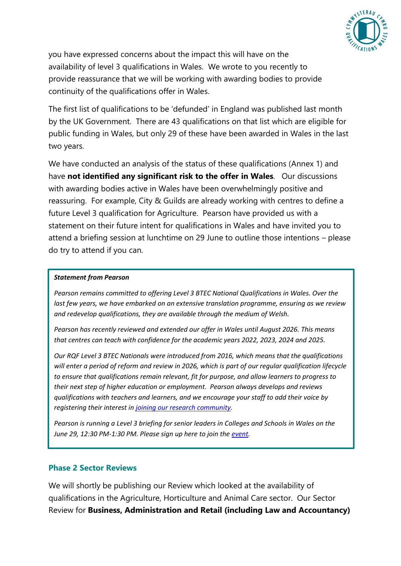

you have expressed concerns about the impact this will have on the availability of level 3 qualifications in Wales. We wrote to you recently to provide reassurance that we will be working with awarding bodies to provide continuity of the qualifications offer in Wales.

The first list of qualifications to be 'defunded' in England was published last month by the UK Government. There are 43 qualifications on that list which are eligible for public funding in Wales, but only 29 of these have been awarded in Wales in the last two years.

We have conducted an analysis of the status of these qualifications (Annex 1) and have **not identified any significant risk to the offer in Wales**. Our discussions with awarding bodies active in Wales have been overwhelmingly positive and reassuring. For example, City & Guilds are already working with centres to define a future Level 3 qualification for Agriculture. Pearson have provided us with a statement on their future intent for qualifications in Wales and have invited you to attend a briefing session at lunchtime on 29 June to outline those intentions – please do try to attend if you can.

#### *Statement from Pearson*

*Pearson remains committed to offering Level 3 BTEC National Qualifications in Wales. Over the last few years, we have embarked on an extensive translation programme, ensuring as we review and redevelop qualifications, they are available through the medium of Welsh.* 

*Pearson has recently reviewed and extended our offer in Wales until August 2026. This means that centres can teach with confidence for the academic years 2022, 2023, 2024 and 2025.* 

*Our RQF Level 3 BTEC Nationals were introduced from 2016, which means that the qualifications will enter a period of reform and review in 2026, which is part of our regular qualification lifecycle to ensure that qualifications remain relevant, fit for purpose, and allow learners to progress to their next step of higher education or employment. Pearson always develops and reviews qualifications with teachers and learners, and we encourage your staff to add their voice by registering their interest i[n joining our research community.](https://eur03.safelinks.protection.outlook.com/?url=https%3A%2F%2Fforms.office.com%2FPages%2FResponsePage.aspx%3Fid%3D1zTEjNCX00e1xRT-DjPjS-XjA9dQ9bhBg6xuoSJPr8NUMEdIRkxTREhNMFVXMDlGQ05EWDFMOEpLWi4u&data=05%7C01%7Ccassy.taylor%40qualificationswales.org%7C5ec19f3e86474f7e492308da4df1abae%7Ccd0829ca1f5841edb91a95e07f55e7f0%7C1%7C0%7C637907997606676410%7CUnknown%7CTWFpbGZsb3d8eyJWIjoiMC4wLjAwMDAiLCJQIjoiV2luMzIiLCJBTiI6Ik1haWwiLCJXVCI6Mn0%3D%7C3000%7C%7C%7C&sdata=WX36%2BveKhightPaQC8owGpKhGJHvYABlr04ouvRRWbQ%3D&reserved=0)* 

*Pearson is running a Level 3 briefing for senior leaders in Colleges and Schools in Wales on the June 29, 12:30 PM-1:30 PM. Please sign up here to join th[e event.](https://eur03.safelinks.protection.outlook.com/?url=https%3A%2F%2Fpearson.cventevents.com%2Fd%2Fkkqvrm%2F&data=05%7C01%7Ccassy.taylor%40qualificationswales.org%7C5ec19f3e86474f7e492308da4df1abae%7Ccd0829ca1f5841edb91a95e07f55e7f0%7C1%7C0%7C637907997606676410%7CUnknown%7CTWFpbGZsb3d8eyJWIjoiMC4wLjAwMDAiLCJQIjoiV2luMzIiLCJBTiI6Ik1haWwiLCJXVCI6Mn0%3D%7C3000%7C%7C%7C&sdata=%2FBok%2BGGYCrLcFKJtELlPsD6%2FlKT7kE3uEOXTuMxpH9I%3D&reserved=0)*

#### **Phase 2 Sector Reviews**

We will shortly be publishing our Review which looked at the availability of qualifications in the Agriculture, Horticulture and Animal Care sector. Our Sector Review for **Business, Administration and Retail (including Law and Accountancy)**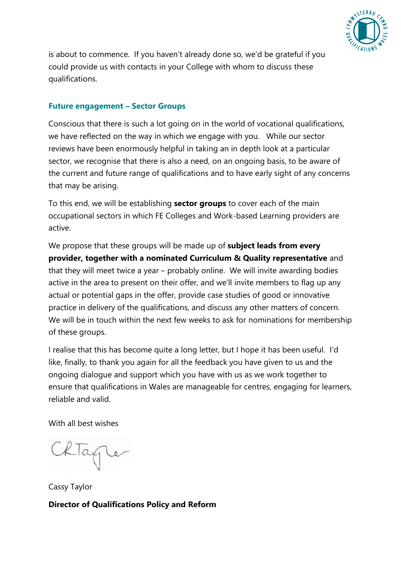

is about to commence. If you haven't already done so, we'd be grateful if you could provide us with contacts in your College with whom to discuss these qualifications.

#### **Future engagement – Sector Groups**

Conscious that there is such a lot going on in the world of vocational qualifications, we have reflected on the way in which we engage with you. While our sector reviews have been enormously helpful in taking an in depth look at a particular sector, we recognise that there is also a need, on an ongoing basis, to be aware of the current and future range of qualifications and to have early sight of any concerns that may be arising.

To this end, we will be establishing **sector groups** to cover each of the main occupational sectors in which FE Colleges and Work-based Learning providers are active.

We propose that these groups will be made up of **subject leads from every provider, together with a nominated Curriculum & Quality representative** and that they will meet twice a year – probably online. We will invite awarding bodies active in the area to present on their offer, and we'll invite members to flag up any actual or potential gaps in the offer, provide case studies of good or innovative practice in delivery of the qualifications, and discuss any other matters of concern. We will be in touch within the next few weeks to ask for nominations for membership of these groups.

I realise that this has become quite a long letter, but I hope it has been useful. I'd like, finally, to thank you again for all the feedback you have given to us and the ongoing dialogue and support which you have with us as we work together to ensure that qualifications in Wales are manageable for centres, engaging for learners, reliable and valid.

With all best wishes

lagler

Cassy Taylor **Director of Qualifications Policy and Reform**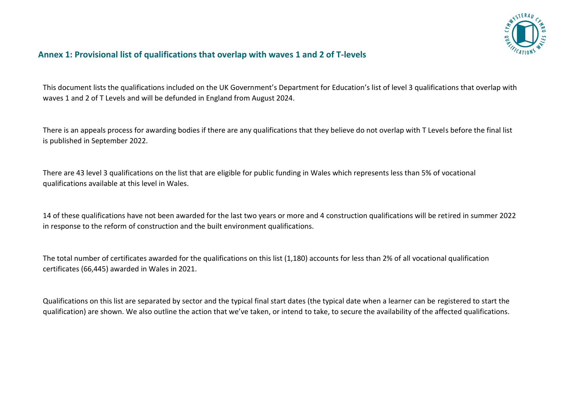

### **Annex 1: Provisional list of qualifications that overlap with waves 1 and 2 of T-levels**

This document lists the qualifications included on the UK Government's Department for Education's list of level 3 qualifications that overlap with waves 1 and 2 of T Levels and will be defunded in England from August 2024.

There is an appeals process for awarding bodies if there are any qualifications that they believe do not overlap with T Levels before the final list is published in September 2022.

There are 43 level 3 qualifications on the list that are eligible for public funding in Wales which represents less than 5% of vocational qualifications available at this level in Wales.

14 of these qualifications have not been awarded for the last two years or more and 4 construction qualifications will be retired in summer 2022 in response to the reform of construction and the built environment qualifications.

The total number of certificates awarded for the qualifications on this list (1,180) accounts for less than 2% of all vocational qualification certificates (66,445) awarded in Wales in 2021.

Qualifications on this list are separated by sector and the typical final start dates (the typical date when a learner can be registered to start the qualification) are shown. We also outline the action that we've taken, or intend to take, to secure the availability of the affected qualifications.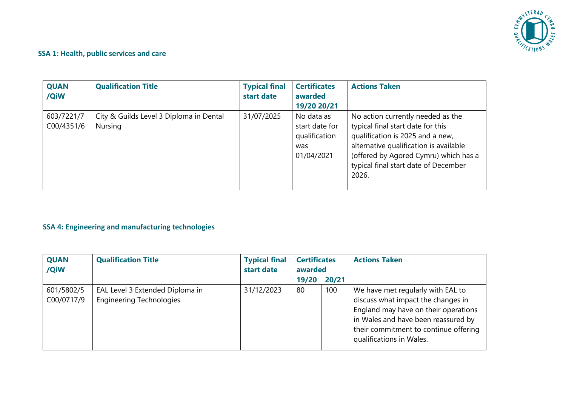

# **SSA 1: Health, public services and care**

| <b>QUAN</b><br>/QiW      | <b>Qualification Title</b>                         | <b>Typical final</b><br>start date | <b>Certificates</b><br>awarded<br>19/20 20/21                      | <b>Actions Taken</b>                                                                                                                                                                                                                           |
|--------------------------|----------------------------------------------------|------------------------------------|--------------------------------------------------------------------|------------------------------------------------------------------------------------------------------------------------------------------------------------------------------------------------------------------------------------------------|
| 603/7221/7<br>C00/4351/6 | City & Guilds Level 3 Diploma in Dental<br>Nursing | 31/07/2025                         | No data as<br>start date for<br>qualification<br>was<br>01/04/2021 | No action currently needed as the<br>typical final start date for this<br>qualification is 2025 and a new,<br>alternative qualification is available<br>(offered by Agored Cymru) which has a<br>typical final start date of December<br>2026. |

#### **SSA 4: Engineering and manufacturing technologies**

| <b>QUAN</b><br>/QiW      | <b>Qualification Title</b>                                         | <b>Typical final</b><br>start date | <b>Certificates</b><br>awarded |       | <b>Actions Taken</b>                                                                                                                                                                                                        |
|--------------------------|--------------------------------------------------------------------|------------------------------------|--------------------------------|-------|-----------------------------------------------------------------------------------------------------------------------------------------------------------------------------------------------------------------------------|
|                          |                                                                    |                                    | 19/20                          | 20/21 |                                                                                                                                                                                                                             |
| 601/5802/5<br>C00/0717/9 | EAL Level 3 Extended Diploma in<br><b>Engineering Technologies</b> | 31/12/2023                         | 80                             | 100   | We have met regularly with EAL to<br>discuss what impact the changes in<br>England may have on their operations<br>in Wales and have been reassured by<br>their commitment to continue offering<br>qualifications in Wales. |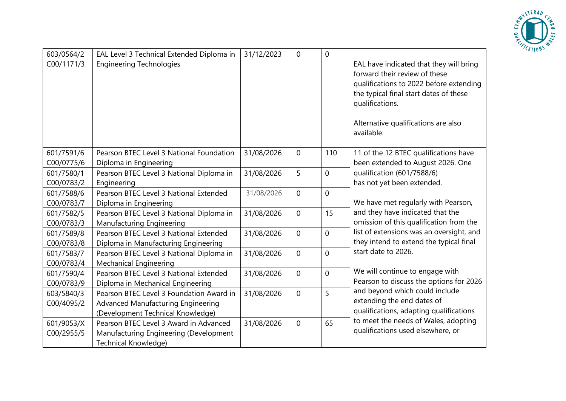

| 603/0564/2<br>C00/1171/3 | EAL Level 3 Technical Extended Diploma in<br><b>Engineering Technologies</b> | 31/12/2023 | 0              | $\mathbf 0$    | EAL have indicated that they will bring<br>forward their review of these<br>qualifications to 2022 before extending<br>the typical final start dates of these<br>qualifications.<br>Alternative qualifications are also<br>available. |
|--------------------------|------------------------------------------------------------------------------|------------|----------------|----------------|---------------------------------------------------------------------------------------------------------------------------------------------------------------------------------------------------------------------------------------|
| 601/7591/6               | Pearson BTEC Level 3 National Foundation                                     | 31/08/2026 | 0              | 110            | 11 of the 12 BTEC qualifications have                                                                                                                                                                                                 |
| C00/0775/6<br>601/7580/1 | Diploma in Engineering                                                       | 31/08/2026 | 5              | $\overline{0}$ | been extended to August 2026. One<br>qualification (601/7588/6)                                                                                                                                                                       |
| C00/0783/2               | Pearson BTEC Level 3 National Diploma in<br>Engineering                      |            |                |                | has not yet been extended.                                                                                                                                                                                                            |
| 601/7588/6               | Pearson BTEC Level 3 National Extended                                       | 31/08/2026 | 0              | $\mathbf 0$    |                                                                                                                                                                                                                                       |
| C00/0783/7               | Diploma in Engineering                                                       |            |                |                | We have met regularly with Pearson,                                                                                                                                                                                                   |
| 601/7582/5               | Pearson BTEC Level 3 National Diploma in                                     | 31/08/2026 | 0              | 15             | and they have indicated that the                                                                                                                                                                                                      |
| C00/0783/3               | Manufacturing Engineering                                                    |            |                |                | omission of this qualification from the                                                                                                                                                                                               |
| 601/7589/8               | Pearson BTEC Level 3 National Extended                                       | 31/08/2026 | $\overline{0}$ | $\overline{0}$ | list of extensions was an oversight, and                                                                                                                                                                                              |
| C00/0783/8               | Diploma in Manufacturing Engineering                                         |            |                |                | they intend to extend the typical final                                                                                                                                                                                               |
| 601/7583/7               | Pearson BTEC Level 3 National Diploma in                                     | 31/08/2026 | $\overline{0}$ | $\mathbf 0$    | start date to 2026.                                                                                                                                                                                                                   |
| C00/0783/4               | <b>Mechanical Engineering</b>                                                |            |                |                |                                                                                                                                                                                                                                       |
| 601/7590/4               | Pearson BTEC Level 3 National Extended                                       | 31/08/2026 | 0              | $\mathbf 0$    | We will continue to engage with                                                                                                                                                                                                       |
| C00/0783/9               | Diploma in Mechanical Engineering                                            |            |                |                | Pearson to discuss the options for 2026                                                                                                                                                                                               |
| 603/5840/3               | Pearson BTEC Level 3 Foundation Award in                                     | 31/08/2026 | $\overline{0}$ | 5              | and beyond which could include                                                                                                                                                                                                        |
| C00/4095/2               | Advanced Manufacturing Engineering                                           |            |                |                | extending the end dates of                                                                                                                                                                                                            |
|                          | (Development Technical Knowledge)                                            |            |                |                | qualifications, adapting qualifications                                                                                                                                                                                               |
| 601/9053/X               | Pearson BTEC Level 3 Award in Advanced                                       | 31/08/2026 | 0              | 65             | to meet the needs of Wales, adopting                                                                                                                                                                                                  |
| C00/2955/5               | Manufacturing Engineering (Development                                       |            |                |                | qualifications used elsewhere, or                                                                                                                                                                                                     |
|                          | Technical Knowledge)                                                         |            |                |                |                                                                                                                                                                                                                                       |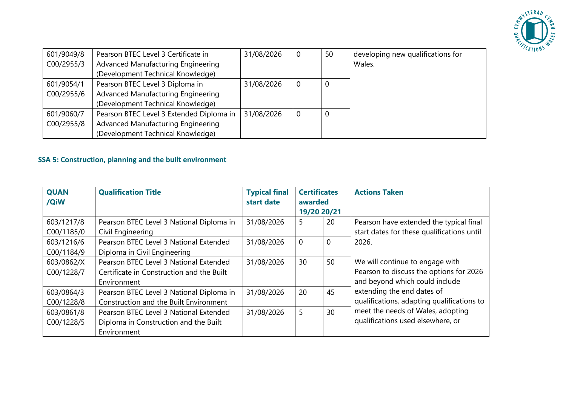

| 601/9049/8 | Pearson BTEC Level 3 Certificate in      | 31/08/2026 | 0 | 50 | developing new qualifications for |
|------------|------------------------------------------|------------|---|----|-----------------------------------|
| C00/2955/3 | Advanced Manufacturing Engineering       |            |   |    | Wales.                            |
|            | (Development Technical Knowledge)        |            |   |    |                                   |
| 601/9054/1 | Pearson BTEC Level 3 Diploma in          | 31/08/2026 | 0 | 0  |                                   |
| C00/2955/6 | Advanced Manufacturing Engineering       |            |   |    |                                   |
|            | (Development Technical Knowledge)        |            |   |    |                                   |
| 601/9060/7 | Pearson BTEC Level 3 Extended Diploma in | 31/08/2026 | 0 | 0  |                                   |
| C00/2955/8 | Advanced Manufacturing Engineering       |            |   |    |                                   |
|            | (Development Technical Knowledge)        |            |   |    |                                   |

# **SSA 5: Construction, planning and the built environment**

| <b>QUAN</b><br>/QiW | <b>Qualification Title</b>                | <b>Typical final</b><br>start date | <b>Certificates</b><br>awarded<br>19/20 20/21 |          | <b>Actions Taken</b>                       |
|---------------------|-------------------------------------------|------------------------------------|-----------------------------------------------|----------|--------------------------------------------|
| 603/1217/8          | Pearson BTEC Level 3 National Diploma in  | 31/08/2026                         | 5                                             | 20       | Pearson have extended the typical final    |
| C00/1185/0          | Civil Engineering                         |                                    |                                               |          | start dates for these qualifications until |
| 603/1216/6          | Pearson BTEC Level 3 National Extended    | 31/08/2026                         | $\overline{0}$                                | $\Omega$ | 2026.                                      |
| C00/1184/9          | Diploma in Civil Engineering              |                                    |                                               |          |                                            |
| 603/0862/X          | Pearson BTEC Level 3 National Extended    | 31/08/2026                         | 30                                            | 50       | We will continue to engage with            |
| C00/1228/7          | Certificate in Construction and the Built |                                    |                                               |          | Pearson to discuss the options for 2026    |
|                     | Environment                               |                                    |                                               |          | and beyond which could include             |
| 603/0864/3          | Pearson BTEC Level 3 National Diploma in  | 31/08/2026                         | 20                                            | 45       | extending the end dates of                 |
| C00/1228/8          | Construction and the Built Environment    |                                    |                                               |          | qualifications, adapting qualifications to |
| 603/0861/8          | Pearson BTEC Level 3 National Extended    | 31/08/2026                         | 5                                             | 30       | meet the needs of Wales, adopting          |
| C00/1228/5          | Diploma in Construction and the Built     |                                    |                                               |          | qualifications used elsewhere, or          |
|                     | Environment                               |                                    |                                               |          |                                            |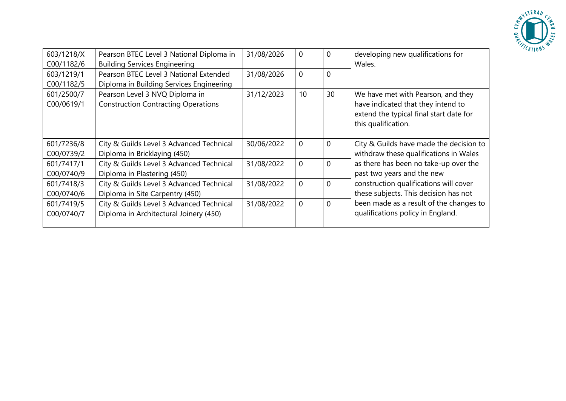

| 603/1218/X | Pearson BTEC Level 3 National Diploma in   | 31/08/2026 | $\Omega$       | 0        | developing new qualifications for       |
|------------|--------------------------------------------|------------|----------------|----------|-----------------------------------------|
| C00/1182/6 | <b>Building Services Engineering</b>       |            |                |          | Wales.                                  |
| 603/1219/1 | Pearson BTEC Level 3 National Extended     | 31/08/2026 | $\overline{0}$ | 0        |                                         |
| C00/1182/5 | Diploma in Building Services Engineering   |            |                |          |                                         |
| 601/2500/7 | Pearson Level 3 NVQ Diploma in             | 31/12/2023 | 10             | 30       | We have met with Pearson, and they      |
| C00/0619/1 | <b>Construction Contracting Operations</b> |            |                |          | have indicated that they intend to      |
|            |                                            |            |                |          | extend the typical final start date for |
|            |                                            |            |                |          | this qualification.                     |
|            |                                            |            |                |          |                                         |
| 601/7236/8 | City & Guilds Level 3 Advanced Technical   | 30/06/2022 | $\overline{0}$ | 0        | City & Guilds have made the decision to |
| C00/0739/2 | Diploma in Bricklaying (450)               |            |                |          | withdraw these qualifications in Wales  |
| 601/7417/1 | City & Guilds Level 3 Advanced Technical   | 31/08/2022 | $\overline{0}$ | 0        | as there has been no take-up over the   |
| C00/0740/9 | Diploma in Plastering (450)                |            |                |          | past two years and the new              |
| 601/7418/3 | City & Guilds Level 3 Advanced Technical   | 31/08/2022 | $\overline{0}$ | 0        | construction qualifications will cover  |
| C00/0740/6 | Diploma in Site Carpentry (450)            |            |                |          | these subjects. This decision has not   |
| 601/7419/5 | City & Guilds Level 3 Advanced Technical   | 31/08/2022 | $\overline{0}$ | $\Omega$ | been made as a result of the changes to |
| C00/0740/7 | Diploma in Architectural Joinery (450)     |            |                |          | qualifications policy in England.       |
|            |                                            |            |                |          |                                         |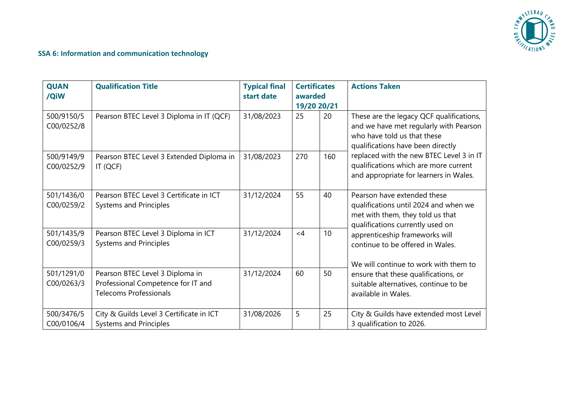

# **SSA 6: Information and communication technology**

| <b>QUAN</b><br>/QiW      | <b>Qualification Title</b>                                                                             | <b>Typical final</b><br>start date | <b>Certificates</b><br>awarded<br>19/20 20/21 |     | <b>Actions Taken</b>                                                                                                                                                                                                                                                                                                                                                |
|--------------------------|--------------------------------------------------------------------------------------------------------|------------------------------------|-----------------------------------------------|-----|---------------------------------------------------------------------------------------------------------------------------------------------------------------------------------------------------------------------------------------------------------------------------------------------------------------------------------------------------------------------|
| 500/9150/5<br>C00/0252/8 | Pearson BTEC Level 3 Diploma in IT (QCF)                                                               | 31/08/2023                         | 25                                            | 20  | These are the legacy QCF qualifications,<br>and we have met regularly with Pearson<br>who have told us that these<br>qualifications have been directly                                                                                                                                                                                                              |
| 500/9149/9<br>C00/0252/9 | Pearson BTEC Level 3 Extended Diploma in<br>IT (QCF)                                                   | 31/08/2023                         | 270                                           | 160 | replaced with the new BTEC Level 3 in IT<br>qualifications which are more current<br>and appropriate for learners in Wales.                                                                                                                                                                                                                                         |
| 501/1436/0<br>C00/0259/2 | Pearson BTEC Level 3 Certificate in ICT<br><b>Systems and Principles</b>                               | 31/12/2024                         | 55                                            | 40  | Pearson have extended these<br>qualifications until 2024 and when we<br>met with them, they told us that<br>qualifications currently used on<br>apprenticeship frameworks will<br>continue to be offered in Wales.<br>We will continue to work with them to<br>ensure that these qualifications, or<br>suitable alternatives, continue to be<br>available in Wales. |
| 501/1435/9<br>C00/0259/3 | Pearson BTEC Level 3 Diploma in ICT<br><b>Systems and Principles</b>                                   | 31/12/2024                         | $<$ 4                                         | 10  |                                                                                                                                                                                                                                                                                                                                                                     |
| 501/1291/0<br>C00/0263/3 | Pearson BTEC Level 3 Diploma in<br>Professional Competence for IT and<br><b>Telecoms Professionals</b> | 31/12/2024                         | 60                                            | 50  |                                                                                                                                                                                                                                                                                                                                                                     |
| 500/3476/5<br>C00/0106/4 | City & Guilds Level 3 Certificate in ICT<br><b>Systems and Principles</b>                              | 31/08/2026                         | 5                                             | 25  | City & Guilds have extended most Level<br>3 qualification to 2026.                                                                                                                                                                                                                                                                                                  |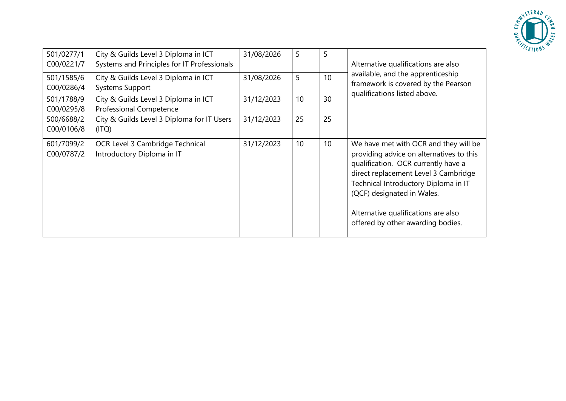

| 501/0277/1<br>C00/0221/7<br>501/1585/6 | City & Guilds Level 3 Diploma in ICT<br>Systems and Principles for IT Professionals<br>City & Guilds Level 3 Diploma in ICT | 31/08/2026<br>31/08/2026 | 5<br>5 | 5<br>10 | Alternative qualifications are also<br>available, and the apprenticeship                                                                                                                                                                                                                                           |
|----------------------------------------|-----------------------------------------------------------------------------------------------------------------------------|--------------------------|--------|---------|--------------------------------------------------------------------------------------------------------------------------------------------------------------------------------------------------------------------------------------------------------------------------------------------------------------------|
| C00/0286/4                             | <b>Systems Support</b>                                                                                                      |                          |        |         | framework is covered by the Pearson<br>qualifications listed above.                                                                                                                                                                                                                                                |
| 501/1788/9<br>C00/0295/8               | City & Guilds Level 3 Diploma in ICT<br><b>Professional Competence</b>                                                      | 31/12/2023               | 10     | 30      |                                                                                                                                                                                                                                                                                                                    |
| 500/6688/2<br>C00/0106/8               | City & Guilds Level 3 Diploma for IT Users<br>(ITQ)                                                                         | 31/12/2023               | 25     | 25      |                                                                                                                                                                                                                                                                                                                    |
| 601/7099/2<br>C00/0787/2               | OCR Level 3 Cambridge Technical<br>Introductory Diploma in IT                                                               | 31/12/2023               | 10     | 10      | We have met with OCR and they will be<br>providing advice on alternatives to this<br>qualification. OCR currently have a<br>direct replacement Level 3 Cambridge<br>Technical Introductory Diploma in IT<br>(QCF) designated in Wales.<br>Alternative qualifications are also<br>offered by other awarding bodies. |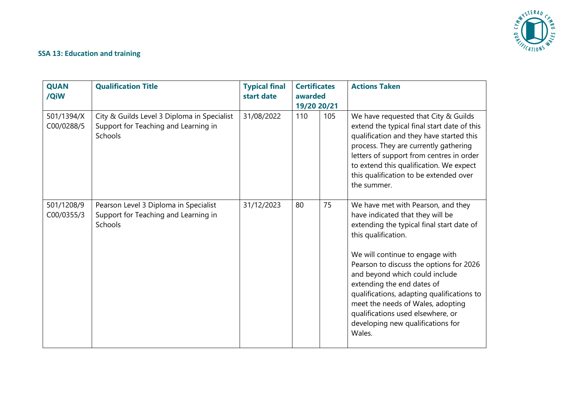

#### **SSA 13: Education and training**

| <b>QUAN</b><br>/QiW      | <b>Qualification Title</b>                                                                     | <b>Typical final</b><br>start date | <b>Certificates</b><br>awarded<br>19/20 20/21 |     | <b>Actions Taken</b>                                                                                                                                                                                                                                                                                                                                                                                                                                            |
|--------------------------|------------------------------------------------------------------------------------------------|------------------------------------|-----------------------------------------------|-----|-----------------------------------------------------------------------------------------------------------------------------------------------------------------------------------------------------------------------------------------------------------------------------------------------------------------------------------------------------------------------------------------------------------------------------------------------------------------|
| 501/1394/X<br>C00/0288/5 | City & Guilds Level 3 Diploma in Specialist<br>Support for Teaching and Learning in<br>Schools | 31/08/2022                         | 110                                           | 105 | We have requested that City & Guilds<br>extend the typical final start date of this<br>qualification and they have started this<br>process. They are currently gathering<br>letters of support from centres in order<br>to extend this qualification. We expect<br>this qualification to be extended over<br>the summer.                                                                                                                                        |
| 501/1208/9<br>C00/0355/3 | Pearson Level 3 Diploma in Specialist<br>Support for Teaching and Learning in<br>Schools       | 31/12/2023                         | 80                                            | 75  | We have met with Pearson, and they<br>have indicated that they will be<br>extending the typical final start date of<br>this qualification.<br>We will continue to engage with<br>Pearson to discuss the options for 2026<br>and beyond which could include<br>extending the end dates of<br>qualifications, adapting qualifications to<br>meet the needs of Wales, adopting<br>qualifications used elsewhere, or<br>developing new qualifications for<br>Wales. |